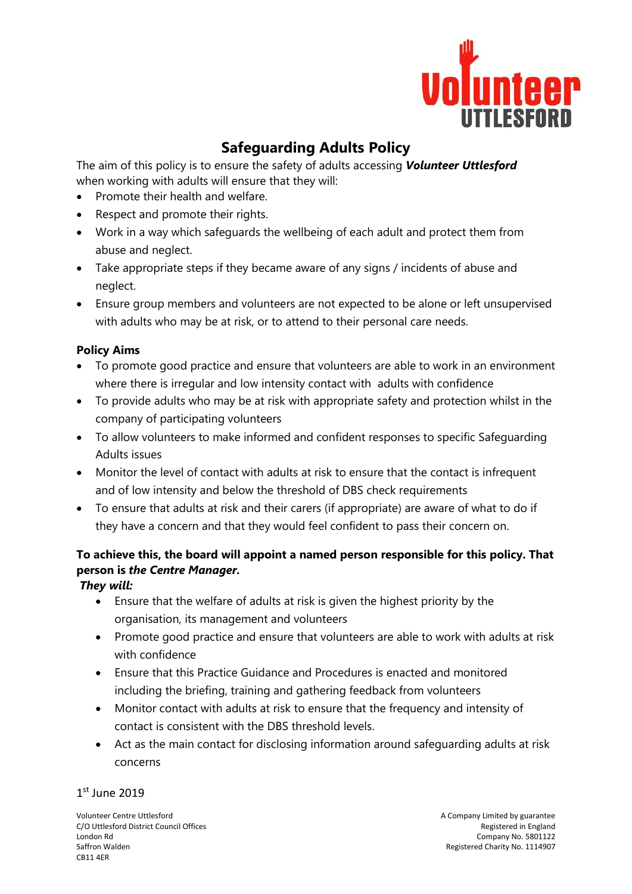

## **Safeguarding Adults Policy**

The aim of this policy is to ensure the safety of adults accessing *Volunteer Uttlesford* when working with adults will ensure that they will:

- Promote their health and welfare.
- Respect and promote their rights.
- Work in a way which safeguards the wellbeing of each adult and protect them from abuse and neglect.
- Take appropriate steps if they became aware of any signs / incidents of abuse and neglect.
- Ensure group members and volunteers are not expected to be alone or left unsupervised with adults who may be at risk, or to attend to their personal care needs.

### **Policy Aims**

- To promote good practice and ensure that volunteers are able to work in an environment where there is irregular and low intensity contact with adults with confidence
- To provide adults who may be at risk with appropriate safety and protection whilst in the company of participating volunteers
- To allow volunteers to make informed and confident responses to specific Safeguarding Adults issues
- Monitor the level of contact with adults at risk to ensure that the contact is infrequent and of low intensity and below the threshold of DBS check requirements
- To ensure that adults at risk and their carers (if appropriate) are aware of what to do if they have a concern and that they would feel confident to pass their concern on.

# **To achieve this, the board will appoint a named person responsible for this policy. That person is** *the Centre Manager.*

*They will:* 

- Ensure that the welfare of adults at risk is given the highest priority by the organisation, its management and volunteers
- Promote good practice and ensure that volunteers are able to work with adults at risk with confidence
- Ensure that this Practice Guidance and Procedures is enacted and monitored including the briefing, training and gathering feedback from volunteers
- Monitor contact with adults at risk to ensure that the frequency and intensity of contact is consistent with the DBS threshold levels.
- Act as the main contact for disclosing information around safeguarding adults at risk concerns

1 st June 2019

Volunteer Centre Uttlesford<br>C/O Uttlesford District Council Offices and the state of the state of the state of the Security of the Securit<br>Registered in England C/O Uttlesford District Council Offices London Rd Company No. 5801122 CB11 4ER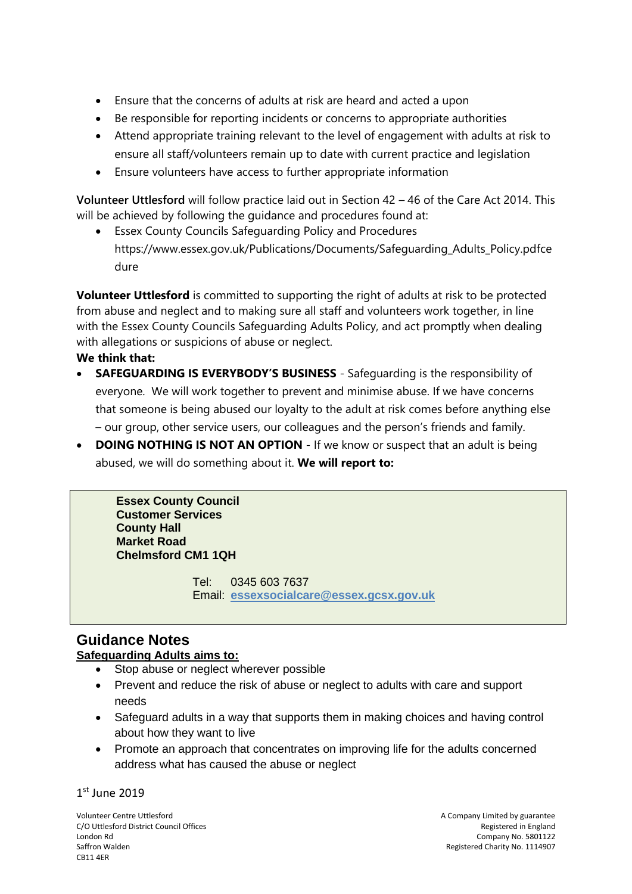- Ensure that the concerns of adults at risk are heard and acted a upon
- Be responsible for reporting incidents or concerns to appropriate authorities
- Attend appropriate training relevant to the level of engagement with adults at risk to ensure all staff/volunteers remain up to date with current practice and legislation
- Ensure volunteers have access to further appropriate information

**Volunteer Uttlesford** will follow practice laid out in Section 42 – 46 of the Care Act 2014. This will be achieved by following the guidance and procedures found at:

• Essex County Councils Safeguarding Policy and Procedures https://www.essex.gov.uk/Publications/Documents/Safeguarding\_Adults\_Policy.pdfce dure

**Volunteer Uttlesford** is committed to supporting the right of adults at risk to be protected from abuse and neglect and to making sure all staff and volunteers work together, in line with the Essex County Councils Safeguarding Adults Policy, and act promptly when dealing with allegations or suspicions of abuse or neglect.

**We think that:**

- **SAFEGUARDING IS EVERYBODY'S BUSINESS** Safeguarding is the responsibility of everyone. We will work together to prevent and minimise abuse. If we have concerns that someone is being abused our loyalty to the adult at risk comes before anything else – our group, other service users, our colleagues and the person's friends and family.
- **DOING NOTHING IS NOT AN OPTION** If we know or suspect that an adult is being abused, we will do something about it. **We will report to:**

**Essex County Council Customer Services County Hall Market Road Chelmsford CM1 1QH**

**Date that next review is due: 8 th May 2019** Email: **essexsocialcare@essex.gcsx.gov.uk**Tel: 0345 603 7637

# **Guidance Notes**

## **Safeguarding Adults aims to:**

- Stop abuse or neglect wherever possible
- Prevent and reduce the risk of abuse or neglect to adults with care and support needs
- Safeguard adults in a way that supports them in making choices and having control about how they want to live
- Promote an approach that concentrates on improving life for the adults concerned address what has caused the abuse or neglect

1 st June 2019

Volunteer Centre Uttlesford<br>C/O Uttlesford District Council Offices and the state and the state of the state of the Security of the Securi<br>Registered in England C/O Uttlesford District Council Offices London Rd Company No. 5801122 CB11 4ER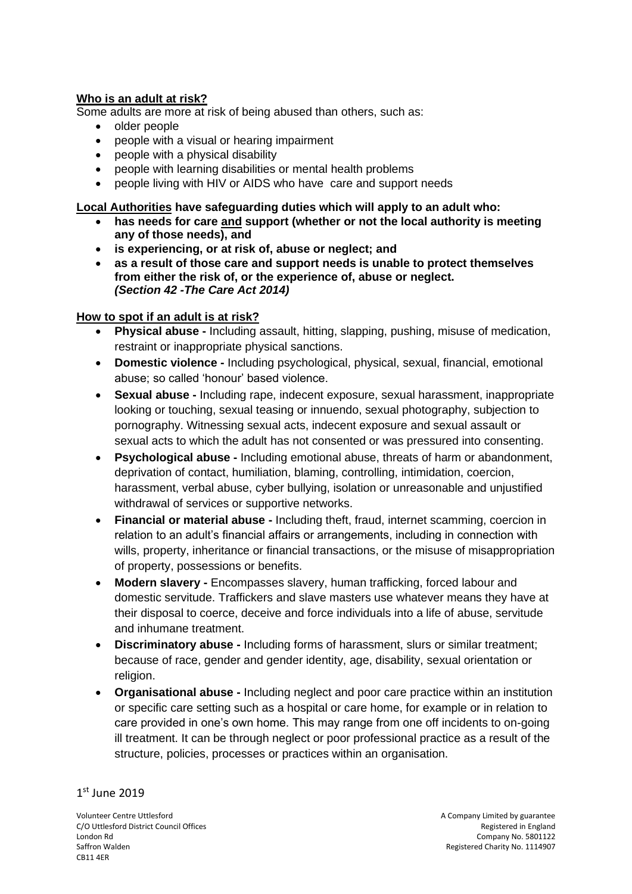### **Who is an adult at risk?**

Some adults are more at risk of being abused than others, such as:

- older people
- people with a visual or hearing impairment
- people with a physical disability
- people with learning disabilities or mental health problems
- people living with HIV or AIDS who have care and support needs

#### **Local Authorities have safeguarding duties which will apply to an adult who:**

- **has needs for care and support (whether or not the local authority is meeting any of those needs), and**
- **is experiencing, or at risk of, abuse or neglect; and**
- **as a result of those care and support needs is unable to protect themselves from either the risk of, or the experience of, abuse or neglect.** *(Section 42 -The Care Act 2014)*

### **How to spot if an adult is at risk?**

- **Physical abuse -** Including assault, hitting, slapping, pushing, misuse of medication, restraint or inappropriate physical sanctions.
- **Domestic violence -** Including psychological, physical, sexual, financial, emotional abuse; so called 'honour' based violence.
- **Sexual abuse -** Including rape, indecent exposure, sexual harassment, inappropriate looking or touching, sexual teasing or innuendo, sexual photography, subjection to pornography. Witnessing sexual acts, indecent exposure and sexual assault or sexual acts to which the adult has not consented or was pressured into consenting.
- **Psychological abuse -** Including emotional abuse, threats of harm or abandonment, deprivation of contact, humiliation, blaming, controlling, intimidation, coercion, harassment, verbal abuse, cyber bullying, isolation or unreasonable and unjustified withdrawal of services or supportive networks.
- **Financial or material abuse -** Including theft, fraud, internet scamming, coercion in relation to an adult's financial affairs or arrangements, including in connection with wills, property, inheritance or financial transactions, or the misuse of misappropriation of property, possessions or benefits.
- **Modern slavery -** Encompasses slavery, human trafficking, forced labour and domestic servitude. Traffickers and slave masters use whatever means they have at their disposal to coerce, deceive and force individuals into a life of abuse, servitude and inhumane treatment.
- **Discriminatory abuse -** Including forms of harassment, slurs or similar treatment; because of race, gender and gender identity, age, disability, sexual orientation or religion.
- **Organisational abuse -** Including neglect and poor care practice within an institution or specific care setting such as a hospital or care home, for example or in relation to care provided in one's own home. This may range from one off incidents to on-going ill treatment. It can be through neglect or poor professional practice as a result of the structure, policies, processes or practices within an organisation.

### 1 st June 2019

Volunteer Centre Uttlesford<br>C/O Uttlesford District Council Offices and the state and the state of the state of the Security of the Securi<br>Registered in England C/O Uttlesford District Council Offices London Rd Company No. 5801122 CB11 4ER